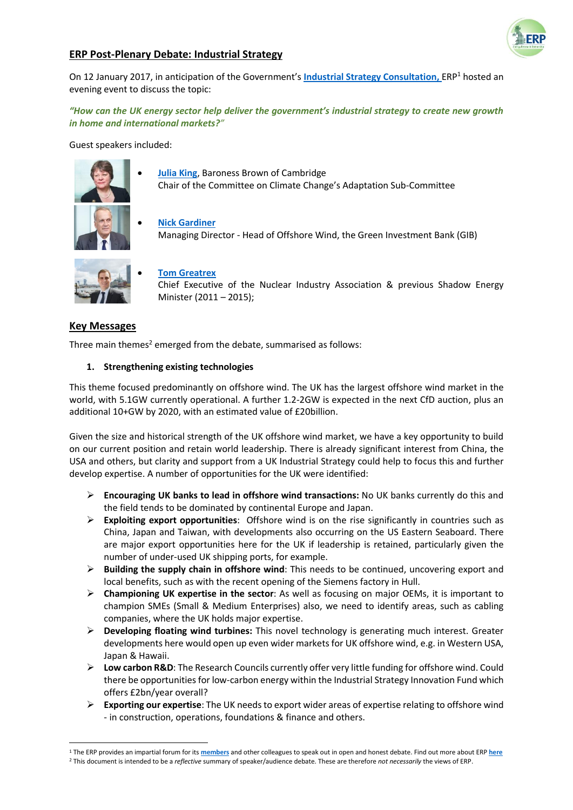

# **ERP Post-Plenary Debate: Industrial Strategy**

On 12 January 2017, in anticipation of the Government's **[Industrial Strategy Consultation,](http://www.parliament.uk/business/publications/written-questions-answers-statements/written-statement/Commons/2017-01-23/HCWS429)** ERP<sup>1</sup> hosted an evening event to discuss the topic:

*"How can the UK energy sector help deliver the government's industrial strategy to create new growth in home and international markets?"*

Guest speakers included:



 **[Julia King](https://www.theccc.org.uk/2017/01/05/new-chair-of-the-adaptation-sub-committee-is-announced/)**, Baroness Brown of Cambridge Chair of the Committee on Climate Change's Adaptation Sub-Committee

 **[Nick Gardiner](http://www.greeninvestmentbank.com/team/)** Managing Director - Head of Offshore Wind, the Green Investment Bank (GIB)



#### **[Tom Greatrex](https://www.niauk.org/about-us/our-people/)**

Chief Executive of the Nuclear Industry Association & previous Shadow Energy Minister (2011 – 2015);

## **Key Messages**

1

Three main themes<sup>2</sup> emerged from the debate, summarised as follows:

#### **1. Strengthening existing technologies**

This theme focused predominantly on offshore wind. The UK has the largest offshore wind market in the world, with 5.1GW currently operational. A further 1.2-2GW is expected in the next CfD auction, plus an additional 10+GW by 2020, with an estimated value of £20billion.

Given the size and historical strength of the UK offshore wind market, we have a key opportunity to build on our current position and retain world leadership. There is already significant interest from China, the USA and others, but clarity and support from a UK Industrial Strategy could help to focus this and further develop expertise. A number of opportunities for the UK were identified:

- **Encouraging UK banks to lead in offshore wind transactions:** No UK banks currently do this and the field tends to be dominated by continental Europe and Japan.
- **Exploiting export opportunities**: Offshore wind is on the rise significantly in countries such as China, Japan and Taiwan, with developments also occurring on the US Eastern Seaboard. There are major export opportunities here for the UK if leadership is retained, particularly given the number of under-used UK shipping ports, for example.
- **Building the supply chain in offshore wind**: This needs to be continued, uncovering export and local benefits, such as with the recent opening of the Siemens factory in Hull.
- **Championing UK expertise in the sector**: As well as focusing on major OEMs, it is important to champion SMEs (Small & Medium Enterprises) also, we need to identify areas, such as cabling companies, where the UK holds major expertise.
- **Developing floating wind turbines:** This novel technology is generating much interest. Greater developments here would open up even wider markets for UK offshore wind, e.g. in Western USA, Japan & Hawaii.
- **Low carbon R&D**: The Research Councils currently offer very little funding for offshore wind. Could there be opportunities for low-carbon energy within the Industrial Strategy Innovation Fund which offers £2bn/year overall?
- **Exporting our expertise**: The UK needs to export wider areas of expertise relating to offshore wind - in construction, operations, foundations & finance and others.

<sup>1</sup> The ERP provides an impartial forum for its **[members](http://erpuk.org/member/)** and other colleagues to speak out in open and honest debate. Find out more about ERP **[here](http://erpuk.org/about-erp/)** <sup>2</sup> This document is intended to be a *reflective* summary of speaker/audience debate. These are therefore *not necessarily* the views of ERP.